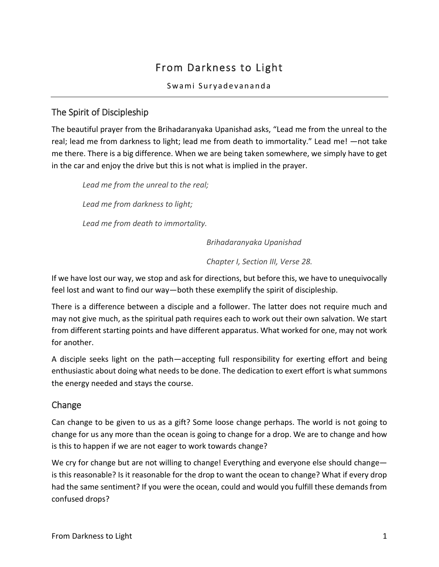# From Darkness to Light

Swami Suryadevananda

# The Spirit of Discipleship

The beautiful prayer from the Brihadaranyaka Upanishad asks, "Lead me from the unreal to the real; lead me from darkness to light; lead me from death to immortality." Lead me! —not take me there. There is a big difference. When we are being taken somewhere, we simply have to get in the car and enjoy the drive but this is not what is implied in the prayer.

*Lead me from the unreal to the real; Lead me from darkness to light;*

*Lead me from death to immortality.*

*Brihadaranyaka Upanishad*

*Chapter I, Section III, Verse 28.*

If we have lost our way, we stop and ask for directions, but before this, we have to unequivocally feel lost and want to find our way—both these exemplify the spirit of discipleship.

There is a difference between a disciple and a follower. The latter does not require much and may not give much, as the spiritual path requires each to work out their own salvation. We start from different starting points and have different apparatus. What worked for one, may not work for another.

A disciple seeks light on the path—accepting full responsibility for exerting effort and being enthusiastic about doing what needs to be done. The dedication to exert effort is what summons the energy needed and stays the course.

## Change

Can change to be given to us as a gift? Some loose change perhaps. The world is not going to change for us any more than the ocean is going to change for a drop. We are to change and how is this to happen if we are not eager to work towards change?

We cry for change but are not willing to change! Everything and everyone else should change is this reasonable? Is it reasonable for the drop to want the ocean to change? What if every drop had the same sentiment? If you were the ocean, could and would you fulfill these demands from confused drops?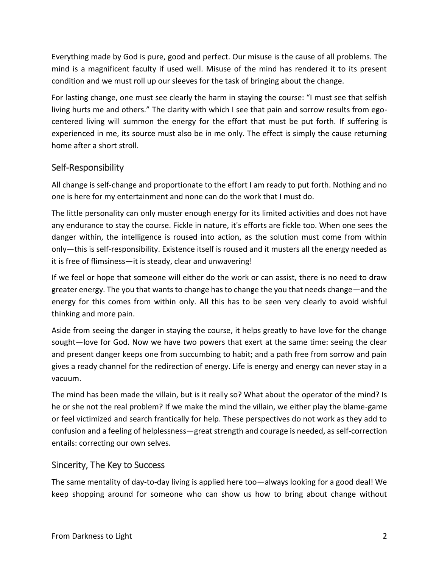Everything made by God is pure, good and perfect. Our misuse is the cause of all problems. The mind is a magnificent faculty if used well. Misuse of the mind has rendered it to its present condition and we must roll up our sleeves for the task of bringing about the change.

For lasting change, one must see clearly the harm in staying the course: "I must see that selfish living hurts me and others." The clarity with which I see that pain and sorrow results from egocentered living will summon the energy for the effort that must be put forth. If suffering is experienced in me, its source must also be in me only. The effect is simply the cause returning home after a short stroll.

# Self-Responsibility

All change is self-change and proportionate to the effort I am ready to put forth. Nothing and no one is here for my entertainment and none can do the work that I must do.

The little personality can only muster enough energy for its limited activities and does not have any endurance to stay the course. Fickle in nature, it's efforts are fickle too. When one sees the danger within, the intelligence is roused into action, as the solution must come from within only—this is self-responsibility. Existence itself is roused and it musters all the energy needed as it is free of flimsiness—it is steady, clear and unwavering!

If we feel or hope that someone will either do the work or can assist, there is no need to draw greater energy. The you that wants to change has to change the you that needs change—and the energy for this comes from within only. All this has to be seen very clearly to avoid wishful thinking and more pain.

Aside from seeing the danger in staying the course, it helps greatly to have love for the change sought—love for God. Now we have two powers that exert at the same time: seeing the clear and present danger keeps one from succumbing to habit; and a path free from sorrow and pain gives a ready channel for the redirection of energy. Life is energy and energy can never stay in a vacuum.

The mind has been made the villain, but is it really so? What about the operator of the mind? Is he or she not the real problem? If we make the mind the villain, we either play the blame-game or feel victimized and search frantically for help. These perspectives do not work as they add to confusion and a feeling of helplessness—great strength and courage is needed, as self-correction entails: correcting our own selves.

## Sincerity, The Key to Success

The same mentality of day-to-day living is applied here too—always looking for a good deal! We keep shopping around for someone who can show us how to bring about change without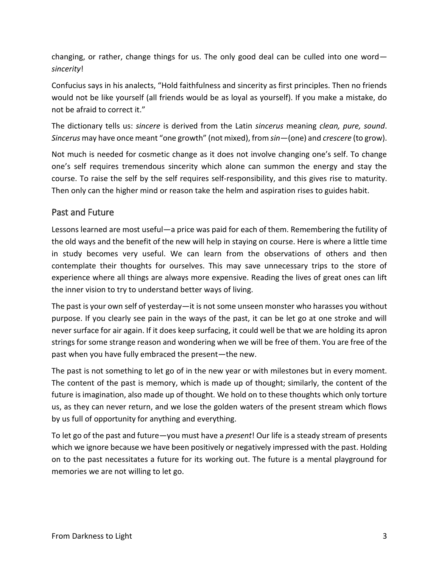changing, or rather, change things for us. The only good deal can be culled into one word *sincerity*!

Confucius says in his analects, "Hold faithfulness and sincerity as first principles. Then no friends would not be like yourself (all friends would be as loyal as yourself). If you make a mistake, do not be afraid to correct it."

The dictionary tells us: *sincere* is derived from the Latin *sincerus* meaning *clean, pure, sound*. *Sincerus* may have once meant "one growth" (not mixed), from *sin—*(one) and *crescere* (to grow).

Not much is needed for cosmetic change as it does not involve changing one's self. To change one's self requires tremendous sincerity which alone can summon the energy and stay the course. To raise the self by the self requires self-responsibility, and this gives rise to maturity. Then only can the higher mind or reason take the helm and aspiration rises to guides habit.

#### Past and Future

Lessons learned are most useful—a price was paid for each of them. Remembering the futility of the old ways and the benefit of the new will help in staying on course. Here is where a little time in study becomes very useful. We can learn from the observations of others and then contemplate their thoughts for ourselves. This may save unnecessary trips to the store of experience where all things are always more expensive. Reading the lives of great ones can lift the inner vision to try to understand better ways of living.

The past is your own self of yesterday—it is not some unseen monster who harasses you without purpose. If you clearly see pain in the ways of the past, it can be let go at one stroke and will never surface for air again. If it does keep surfacing, it could well be that we are holding its apron strings for some strange reason and wondering when we will be free of them. You are free of the past when you have fully embraced the present—the new.

The past is not something to let go of in the new year or with milestones but in every moment. The content of the past is memory, which is made up of thought; similarly, the content of the future is imagination, also made up of thought. We hold on to these thoughts which only torture us, as they can never return, and we lose the golden waters of the present stream which flows by us full of opportunity for anything and everything.

To let go of the past and future—you must have a *present*! Our life is a steady stream of presents which we ignore because we have been positively or negatively impressed with the past. Holding on to the past necessitates a future for its working out. The future is a mental playground for memories we are not willing to let go.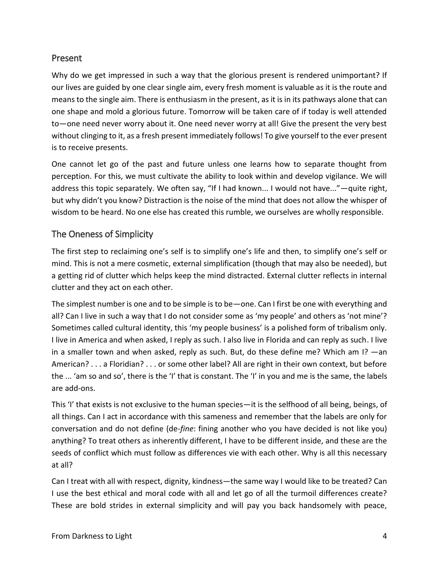#### Present

Why do we get impressed in such a way that the glorious present is rendered unimportant? If our lives are guided by one clear single aim, every fresh moment is valuable as it is the route and means to the single aim. There is enthusiasm in the present, as it is in its pathways alone that can one shape and mold a glorious future. Tomorrow will be taken care of if today is well attended to—one need never worry about it. One need never worry at all! Give the present the very best without clinging to it, as a fresh present immediately follows! To give yourself to the ever present is to receive presents.

One cannot let go of the past and future unless one learns how to separate thought from perception. For this, we must cultivate the ability to look within and develop vigilance. We will address this topic separately. We often say, "If I had known... I would not have..."—quite right, but why didn't you know? Distraction is the noise of the mind that does not allow the whisper of wisdom to be heard. No one else has created this rumble, we ourselves are wholly responsible.

## The Oneness of Simplicity

The first step to reclaiming one's self is to simplify one's life and then, to simplify one's self or mind. This is not a mere cosmetic, external simplification (though that may also be needed), but a getting rid of clutter which helps keep the mind distracted. External clutter reflects in internal clutter and they act on each other.

The simplest number is one and to be simple is to be—one. Can I first be one with everything and all? Can I live in such a way that I do not consider some as 'my people' and others as 'not mine'? Sometimes called cultural identity, this 'my people business' is a polished form of tribalism only. I live in America and when asked, I reply as such. I also live in Florida and can reply as such. I live in a smaller town and when asked, reply as such. But, do these define me? Which am I? —an American? . . . a Floridian? . . . or some other label? All are right in their own context, but before the ... 'am so and so', there is the 'I' that is constant. The 'I' in you and me is the same, the labels are add-ons.

This 'I' that exists is not exclusive to the human species—it is the selfhood of all being, beings, of all things. Can I act in accordance with this sameness and remember that the labels are only for conversation and do not define (de-*fine*: fining another who you have decided is not like you) anything? To treat others as inherently different, I have to be different inside, and these are the seeds of conflict which must follow as differences vie with each other. Why is all this necessary at all?

Can I treat with all with respect, dignity, kindness—the same way I would like to be treated? Can I use the best ethical and moral code with all and let go of all the turmoil differences create? These are bold strides in external simplicity and will pay you back handsomely with peace,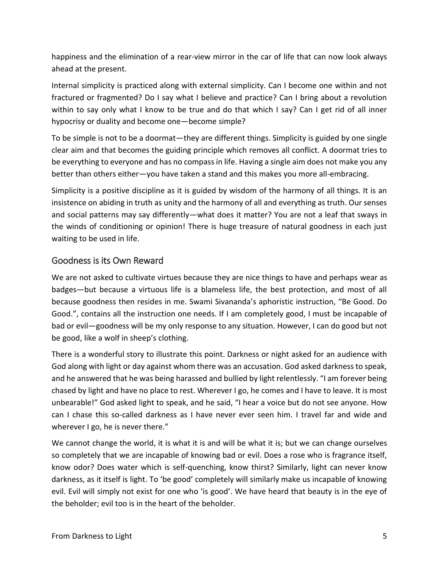happiness and the elimination of a rear-view mirror in the car of life that can now look always ahead at the present.

Internal simplicity is practiced along with external simplicity. Can I become one within and not fractured or fragmented? Do I say what I believe and practice? Can I bring about a revolution within to say only what I know to be true and do that which I say? Can I get rid of all inner hypocrisy or duality and become one—become simple?

To be simple is not to be a doormat—they are different things. Simplicity is guided by one single clear aim and that becomes the guiding principle which removes all conflict. A doormat tries to be everything to everyone and has no compass in life. Having a single aim does not make you any better than others either—you have taken a stand and this makes you more all-embracing.

Simplicity is a positive discipline as it is guided by wisdom of the harmony of all things. It is an insistence on abiding in truth as unity and the harmony of all and everything as truth. Our senses and social patterns may say differently—what does it matter? You are not a leaf that sways in the winds of conditioning or opinion! There is huge treasure of natural goodness in each just waiting to be used in life.

## Goodness is its Own Reward

We are not asked to cultivate virtues because they are nice things to have and perhaps wear as badges—but because a virtuous life is a blameless life, the best protection, and most of all because goodness then resides in me. Swami Sivananda's aphoristic instruction, "Be Good. Do Good.", contains all the instruction one needs. If I am completely good, I must be incapable of bad or evil—goodness will be my only response to any situation. However, I can do good but not be good, like a wolf in sheep's clothing.

There is a wonderful story to illustrate this point. Darkness or night asked for an audience with God along with light or day against whom there was an accusation. God asked darkness to speak, and he answered that he was being harassed and bullied by light relentlessly. "I am forever being chased by light and have no place to rest. Wherever I go, he comes and I have to leave. It is most unbearable!" God asked light to speak, and he said, "I hear a voice but do not see anyone. How can I chase this so-called darkness as I have never ever seen him. I travel far and wide and wherever I go, he is never there."

We cannot change the world, it is what it is and will be what it is; but we can change ourselves so completely that we are incapable of knowing bad or evil. Does a rose who is fragrance itself, know odor? Does water which is self-quenching, know thirst? Similarly, light can never know darkness, as it itself is light. To 'be good' completely will similarly make us incapable of knowing evil. Evil will simply not exist for one who 'is good'. We have heard that beauty is in the eye of the beholder; evil too is in the heart of the beholder.